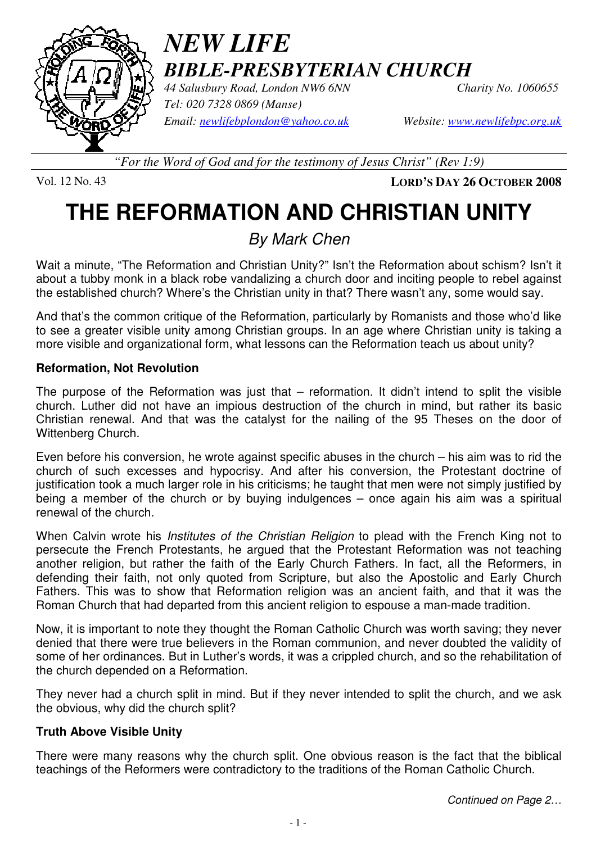

## *NEW LIFE BIBLE-PRESBYTERIAN CHURCH*

*44 Salusbury Road, London NW6 6NN Charity No. 1060655 Tel: 020 7328 0869 (Manse) Email: newlifebplondon@yahoo.co.uk Website: www.newlifebpc.org.uk*

*"For the Word of God and for the testimony of Jesus Christ" (Rev 1:9)*

Vol. 12 No. 43 **LORD'S DAY 26 OCTOBER 2008**

# **THE REFORMATION AND CHRISTIAN UNITY**

By Mark Chen

Wait a minute, "The Reformation and Christian Unity?" Isn't the Reformation about schism? Isn't it about a tubby monk in a black robe vandalizing a church door and inciting people to rebel against the established church? Where's the Christian unity in that? There wasn't any, some would say.

And that's the common critique of the Reformation, particularly by Romanists and those who'd like to see a greater visible unity among Christian groups. In an age where Christian unity is taking a more visible and organizational form, what lessons can the Reformation teach us about unity?

#### **Reformation, Not Revolution**

The purpose of the Reformation was just that – reformation. It didn't intend to split the visible church. Luther did not have an impious destruction of the church in mind, but rather its basic Christian renewal. And that was the catalyst for the nailing of the 95 Theses on the door of Wittenberg Church.

Even before his conversion, he wrote against specific abuses in the church – his aim was to rid the church of such excesses and hypocrisy. And after his conversion, the Protestant doctrine of justification took a much larger role in his criticisms; he taught that men were not simply justified by being a member of the church or by buying indulgences – once again his aim was a spiritual renewal of the church.

When Calvin wrote his *Institutes of the Christian Religion* to plead with the French King not to persecute the French Protestants, he argued that the Protestant Reformation was not teaching another religion, but rather the faith of the Early Church Fathers. In fact, all the Reformers, in defending their faith, not only quoted from Scripture, but also the Apostolic and Early Church Fathers. This was to show that Reformation religion was an ancient faith, and that it was the Roman Church that had departed from this ancient religion to espouse a man-made tradition.

Now, it is important to note they thought the Roman Catholic Church was worth saving; they never denied that there were true believers in the Roman communion, and never doubted the validity of some of her ordinances. But in Luther's words, it was a crippled church, and so the rehabilitation of the church depended on a Reformation.

They never had a church split in mind. But if they never intended to split the church, and we ask the obvious, why did the church split?

#### **Truth Above Visible Unity**

There were many reasons why the church split. One obvious reason is the fact that the biblical teachings of the Reformers were contradictory to the traditions of the Roman Catholic Church.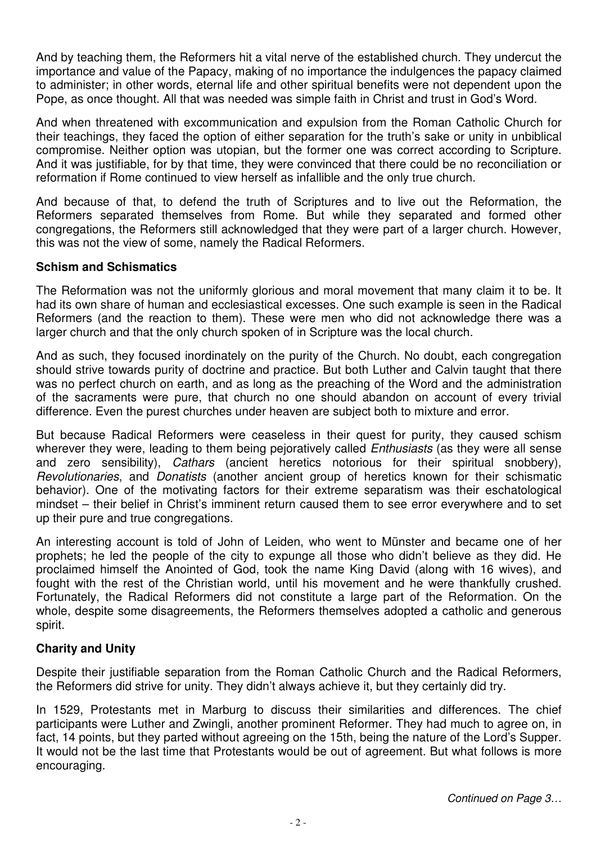And by teaching them, the Reformers hit a vital nerve of the established church. They undercut the importance and value of the Papacy, making of no importance the indulgences the papacy claimed to administer; in other words, eternal life and other spiritual benefits were not dependent upon the Pope, as once thought. All that was needed was simple faith in Christ and trust in God's Word.

And when threatened with excommunication and expulsion from the Roman Catholic Church for their teachings, they faced the option of either separation for the truth's sake or unity in unbiblical compromise. Neither option was utopian, but the former one was correct according to Scripture. And it was justifiable, for by that time, they were convinced that there could be no reconciliation or reformation if Rome continued to view herself as infallible and the only true church.

And because of that, to defend the truth of Scriptures and to live out the Reformation, the Reformers separated themselves from Rome. But while they separated and formed other congregations, the Reformers still acknowledged that they were part of a larger church. However, this was not the view of some, namely the Radical Reformers.

#### **Schism and Schismatics**

The Reformation was not the uniformly glorious and moral movement that many claim it to be. It had its own share of human and ecclesiastical excesses. One such example is seen in the Radical Reformers (and the reaction to them). These were men who did not acknowledge there was a larger church and that the only church spoken of in Scripture was the local church.

And as such, they focused inordinately on the purity of the Church. No doubt, each congregation should strive towards purity of doctrine and practice. But both Luther and Calvin taught that there was no perfect church on earth, and as long as the preaching of the Word and the administration of the sacraments were pure, that church no one should abandon on account of every trivial difference. Even the purest churches under heaven are subject both to mixture and error.

But because Radical Reformers were ceaseless in their quest for purity, they caused schism wherever they were, leading to them being pejoratively called *Enthusiasts* (as they were all sense and zero sensibility), *Cathars* (ancient heretics notorious for their spiritual snobbery), Revolutionaries, and Donatists (another ancient group of heretics known for their schismatic behavior). One of the motivating factors for their extreme separatism was their eschatological mindset – their belief in Christ's imminent return caused them to see error everywhere and to set up their pure and true congregations.

An interesting account is told of John of Leiden, who went to Münster and became one of her prophets; he led the people of the city to expunge all those who didn't believe as they did. He proclaimed himself the Anointed of God, took the name King David (along with 16 wives), and fought with the rest of the Christian world, until his movement and he were thankfully crushed. Fortunately, the Radical Reformers did not constitute a large part of the Reformation. On the whole, despite some disagreements, the Reformers themselves adopted a catholic and generous spirit.

#### **Charity and Unity**

Despite their justifiable separation from the Roman Catholic Church and the Radical Reformers, the Reformers did strive for unity. They didn't always achieve it, but they certainly did try.

In 1529, Protestants met in Marburg to discuss their similarities and differences. The chief participants were Luther and Zwingli, another prominent Reformer. They had much to agree on, in fact, 14 points, but they parted without agreeing on the 15th, being the nature of the Lord's Supper. It would not be the last time that Protestants would be out of agreement. But what follows is more encouraging.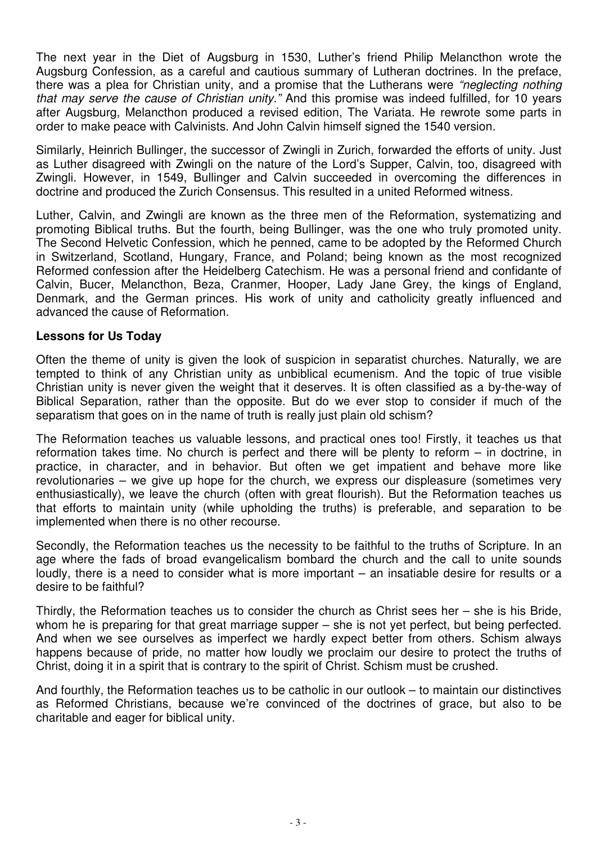The next year in the Diet of Augsburg in 1530, Luther's friend Philip Melancthon wrote the Augsburg Confession, as a careful and cautious summary of Lutheran doctrines. In the preface, there was a plea for Christian unity, and a promise that the Lutherans were "neglecting nothing that may serve the cause of Christian unity." And this promise was indeed fulfilled, for 10 years after Augsburg, Melancthon produced a revised edition, The Variata. He rewrote some parts in order to make peace with Calvinists. And John Calvin himself signed the 1540 version.

Similarly, Heinrich Bullinger, the successor of Zwingli in Zurich, forwarded the efforts of unity. Just as Luther disagreed with Zwingli on the nature of the Lord's Supper, Calvin, too, disagreed with Zwingli. However, in 1549, Bullinger and Calvin succeeded in overcoming the differences in doctrine and produced the Zurich Consensus. This resulted in a united Reformed witness.

Luther, Calvin, and Zwingli are known as the three men of the Reformation, systematizing and promoting Biblical truths. But the fourth, being Bullinger, was the one who truly promoted unity. The Second Helvetic Confession, which he penned, came to be adopted by the Reformed Church in Switzerland, Scotland, Hungary, France, and Poland; being known as the most recognized Reformed confession after the Heidelberg Catechism. He was a personal friend and confidante of Calvin, Bucer, Melancthon, Beza, Cranmer, Hooper, Lady Jane Grey, the kings of England, Denmark, and the German princes. His work of unity and catholicity greatly influenced and advanced the cause of Reformation.

#### **Lessons for Us Today**

Often the theme of unity is given the look of suspicion in separatist churches. Naturally, we are tempted to think of any Christian unity as unbiblical ecumenism. And the topic of true visible Christian unity is never given the weight that it deserves. It is often classified as a by-the-way of Biblical Separation, rather than the opposite. But do we ever stop to consider if much of the separatism that goes on in the name of truth is really just plain old schism?

The Reformation teaches us valuable lessons, and practical ones too! Firstly, it teaches us that reformation takes time. No church is perfect and there will be plenty to reform – in doctrine, in practice, in character, and in behavior. But often we get impatient and behave more like revolutionaries – we give up hope for the church, we express our displeasure (sometimes very enthusiastically), we leave the church (often with great flourish). But the Reformation teaches us that efforts to maintain unity (while upholding the truths) is preferable, and separation to be implemented when there is no other recourse.

Secondly, the Reformation teaches us the necessity to be faithful to the truths of Scripture. In an age where the fads of broad evangelicalism bombard the church and the call to unite sounds loudly, there is a need to consider what is more important – an insatiable desire for results or a desire to be faithful?

Thirdly, the Reformation teaches us to consider the church as Christ sees her – she is his Bride, whom he is preparing for that great marriage supper – she is not yet perfect, but being perfected. And when we see ourselves as imperfect we hardly expect better from others. Schism always happens because of pride, no matter how loudly we proclaim our desire to protect the truths of Christ, doing it in a spirit that is contrary to the spirit of Christ. Schism must be crushed.

And fourthly, the Reformation teaches us to be catholic in our outlook – to maintain our distinctives as Reformed Christians, because we're convinced of the doctrines of grace, but also to be charitable and eager for biblical unity.